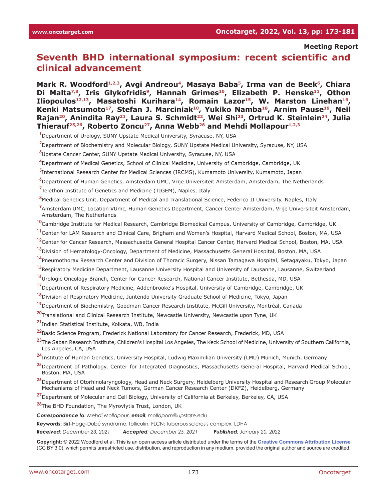**Meeting Report**

# **Seventh BHD international symposium: recent scientific and clinical advancement**

Mark R. Woodford<sup>1,2,3</sup>, Avgi Andreou<sup>4</sup>, Masaya Baba<sup>5</sup>, Irma van de Beek<sup>6</sup>, Chiara Di Malta<sup>7,8</sup>, Iris Glykofridis<sup>9</sup>, Hannah Grimes<sup>10</sup>, Elizabeth P. Henske<sup>11</sup>, Othon Iliopoulos<sup>12,13</sup>, Masatoshi Kurihara<sup>14</sup>, Romain Lazor<sup>15</sup>, W. Marston Linehan<sup>16</sup>, Kenki Matsumoto<sup>17</sup>, Stefan J. Marciniak<sup>10</sup>, Yukiko Namba<sup>18</sup>, Arnim Pause<sup>19</sup>, Neil Rajan<sup>20</sup>, Anindita Ray<sup>21</sup>, Laura S. Schmidt<sup>22</sup>, Wei Shi<sup>23</sup>, Ortrud K. Steinlein<sup>24</sup>, Julia Thierauf<sup>25,26</sup>, Roberto Zoncu<sup>27</sup>, Anna Webb<sup>28</sup> and Mehdi Mollapour<sup>1,2,3</sup>

- **1** Department of Urology, SUNY Upstate Medical University, Syracuse, NY, USA
- **2** Department of Biochemistry and Molecular Biology, SUNY Upstate Medical University, Syracuse, NY, USA
- **3** Upstate Cancer Center, SUNY Upstate Medical University, Syracuse, NY, USA
- **4** Department of Medical Genetics, School of Clinical Medicine, University of Cambridge, Cambridge, UK
- **5** International Research Center for Medical Sciences (IRCMS), Kumamoto University, Kumamoto, Japan
- **6** Department of Human Genetics, Amsterdam UMC, Vrije Universiteit Amsterdam, Amsterdam, The Netherlands

**7** Telethon Institute of Genetics and Medicine (TIGEM), Naples, Italy

**8** Medical Genetics Unit, Department of Medical and Translational Science, Federico II University, Naples, Italy

**9** Amsterdam UMC, Location VUmc, Human Genetics Department, Cancer Center Amsterdam, Vrije Universiteit Amsterdam, Amsterdam, The Netherlands

- **10** Cambridge Institute for Medical Research, Cambridge Biomedical Campus, University of Cambridge, Cambridge, UK
- **<sup>11</sup>**Center for LAM Research and Clinical Care, Brigham and Women's Hospital, Harvard Medical School, Boston, MA, USA
- **<sup>12</sup>**Center for Cancer Research, Massachusetts General Hospital Cancer Center, Harvard Medical School, Boston, MA, USA
- **<sup>13</sup>**Division of Hematology-Oncology, Department of Medicine, Massachusetts General Hospital, Boston, MA, USA
- **<sup>14</sup>**Pneumothorax Research Center and Division of Thoracic Surgery, Nissan Tamagawa Hospital, Setagayaku, Tokyo, Japan
- **<sup>15</sup>**Respiratory Medicine Department, Lausanne University Hospital and University of Lausanne, Lausanne, Switzerland
- **<sup>16</sup>**Urologic Oncology Branch, Center for Cancer Research, National Cancer Institute, Bethesda, MD, USA
- **<sup>17</sup>**Department of Respiratory Medicine, Addenbrooke's Hospital, University of Cambridge, Cambridge, UK
- **<sup>18</sup>**Division of Respiratory Medicine, Juntendo University Graduate School of Medicine, Tokyo, Japan
- **<sup>19</sup>**Department of Biochemistry, Goodman Cancer Research Institute, McGill University, Montréal, Canada
- **<sup>20</sup>**Translational and Clinical Research Institute, Newcastle University, Newcastle upon Tyne, UK
- **<sup>21</sup>**Indian Statistical Institute, Kolkata, WB, India
- **<sup>22</sup>**Basic Science Program, Frederick National Laboratory for Cancer Research, Frederick, MD, USA
- **<sup>23</sup>**The Saban Research Institute, Children's Hospital Los Angeles, The Keck School of Medicine, University of Southern California, Los Angeles, CA, USA
- **<sup>24</sup>**Institute of Human Genetics, University Hospital, Ludwig Maximilian University (LMU) Munich, Munich, Germany
- **<sup>25</sup>**Department of Pathology, Center for Integrated Diagnostics, Massachusetts General Hospital, Harvard Medical School, Boston, MA, USA
- **<sup>26</sup>**Department of Otorhinolaryngology, Head and Neck Surgery, Heidelberg University Hospital and Research Group Molecular Mechanisms of Head and Neck Tumors, German Cancer Research Center (DKFZ), Heidelberg, Germany
- **<sup>27</sup>**Department of Molecular and Cell Biology, University of California at Berkeley, Berkeley, CA, USA

**<sup>28</sup>**The BHD Foundation, The Myrovlytis Trust, London, UK

*Correspondence to: Mehdi Mollapour, email: mollapom@upstate.edu*

*Keywords*: Birt-Hogg-Dubé syndrome; folliculin; FLCN; tuberous sclerosis complex; LDHA

*Received: December 23, 2021 Accepted: December 25, 2021 Published: January 20, 2022*

**Copyright:** © 2022 Woodford et al. This is an open access article distributed under the terms of the **[Creative Commons Attribution License](https://creativecommons.org/licenses/by/3.0/)** (CC BY 3.0), which permits unrestricted use, distribution, and reproduction in any medium, provided the original author and source are credited.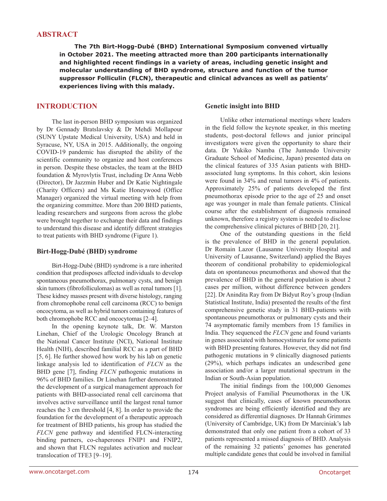### **ABSTRACT**

**The 7th Birt-Hogg-Dubé (BHD) International Symposium convened virtually in October 2021. The meeting attracted more than 200 participants internationally and highlighted recent findings in a variety of areas, including genetic insight and molecular understanding of BHD syndrome, structure and function of the tumor suppressor Folliculin (FLCN), therapeutic and clinical advances as well as patients' experiences living with this malady.**

## **INTRODUCTION**

The last in-person BHD symposium was organized by Dr Gennady Bratslavsky & Dr Mehdi Mollapour (SUNY Upstate Medical University, USA) and held in Syracuse, NY, USA in 2015. Additionally, the ongoing COVID-19 pandemic has disrupted the ability of the scientific community to organize and host conferences in person. Despite these obstacles, the team at the BHD foundation & Myrovlytis Trust, including Dr Anna Webb (Director), Dr Jazzmin Huber and Dr Katie Nightingale (Charity Officers) and Ms Katie Honeywood (Office Manager) organized the virtual meeting with help from the organizing committee. More than 200 BHD patients, leading researchers and surgeons from across the globe were brought together to exchange their data and findings to understand this disease and identify different strategies to treat patients with BHD syndrome (Figure 1).

#### **Birt-Hogg-Dubé (BHD) syndrome**

Birt-Hogg-Dubé (BHD) syndrome is a rare inherited condition that predisposes affected individuals to develop spontaneous pneumothorax, pulmonary cysts, and benign skin tumors (fibrofolliculomas) as well as renal tumors [1]. These kidney masses present with diverse histology, ranging from chromophobe renal cell carcinoma (RCC) to benign oncocytoma, as well as hybrid tumors containing features of both chromophobe RCC and oncocytomas [2–4].

In the opening keynote talk, Dr. W. Marston Linehan, Chief of the Urologic Oncology Branch at the National Cancer Institute (NCI), National Institute Health (NIH), described familial RCC as a part of BHD [5, 6]. He further showed how work by his lab on genetic linkage analysis led to identification of *FLCN* as the BHD gene [7], finding *FLCN* pathogenic mutations in 96% of BHD families. Dr Linehan further demonstrated the development of a surgical management approach for patients with BHD-associated renal cell carcinoma that involves active surveillance until the largest renal tumor reaches the 3 cm threshold [4, 8]. In order to provide the foundation for the development of a therapeutic approach for treatment of BHD patients, his group has studied the *FLCN* gene pathway and identified FLCN-interacting binding partners, co-chaperones FNIP1 and FNIP2, and shown that FLCN regulates activation and nuclear translocation of TFE3 [9–19].

#### **Genetic insight into BHD**

Unlike other international meetings where leaders in the field follow the keynote speaker, in this meeting students, post-doctoral fellows and junior principal investigators were given the opportunity to share their data. Dr Yukiko Namba (The Juntendo University Graduate School of Medicine, Japan) presented data on the clinical features of 335 Asian patients with BHDassociated lung symptoms. In this cohort, skin lesions were found in 34% and renal tumors in 4% of patients. Approximately 25% of patients developed the first pneumothorax episode prior to the age of 25 and onset age was younger in male than female patients. Clinical course after the establishment of diagnosis remained unknown, therefore a registry system is needed to disclose the comprehensive clinical pictures of BHD [20, 21].

One of the outstanding questions in the field is the prevalence of BHD in the general population. Dr Romain Lazor (Lausanne University Hospital and University of Lausanne, Switzerland) applied the Bayes theorem of conditional probability to epidemiological data on spontaneous pneumothorax and showed that the prevalence of BHD in the general population is about 2 cases per million, without difference between genders [22]. Dr Anindita Ray from Dr Bidyut Roy's group (Indian Statistical Institute, India) presented the results of the first comprehensive genetic study in 31 BHD-patients with spontaneous pneumothorax or pulmonary cysts and their 74 asymptomatic family members from 15 families in India. They sequenced the *FLCN* gene and found variants in genes associated with homocystinuria for some patients with BHD presenting features. However, they did not find pathogenic mutations in 9 clinically diagnosed patients (29%), which perhaps indicates an undescribed gene association and/or a larger mutational spectrum in the Indian or South-Asian population.

The initial findings from the 100,000 Genomes Project analysis of Familial Pneumothorax in the UK suggest that clinically, cases of known pneumothorax syndromes are being efficiently identified and they are considered as differential diagnoses. Dr Hannah Grimmes (University of Cambridge, UK) from Dr Marciniak's lab demonstrated that only one patient from a cohort of 33 patients represented a missed diagnosis of BHD. Analysis of the remaining 32 patients' genomes has generated multiple candidate genes that could be involved in familial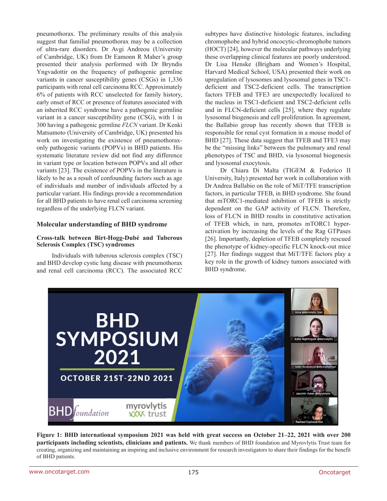pneumothorax. The preliminary results of this analysis suggest that familial pneumothorax may be a collection of ultra-rare disorders. Dr Avgi Andreou (University of Cambridge, UK) from Dr Eamonn R Maher's group presented their analysis performed with Dr Bryndis Yngvadottir on the frequency of pathogenic germline variants in cancer susceptibility genes (CSGs) in 1,336 participants with renal cell carcinoma RCC. Approximately 6% of patients with RCC unselected for family history, early onset of RCC or presence of features associated with an inherited RCC syndrome have a pathogenic germline variant in a cancer susceptibility gene (CSG), with 1 in 300 having a pathogenic germline *FLCN* variant. Dr Kenki Matsumoto (University of Cambridge, UK) presented his work on investigating the existence of pneumothoraxonly pathogenic variants (POPVs) in BHD patients. His systematic literature review did not find any difference in variant type or location between POPVs and all other variants [23]. The existence of POPVs in the literature is likely to be as a result of confounding factors such as age of individuals and number of individuals affected by a particular variant. His findings provide a recommendation for all BHD patients to have renal cell carcinoma screening regardless of the underlying FLCN variant.

#### **Molecular understanding of BHD syndrome**

#### **Cross-talk between Birt-Hogg-Dubé and Tuberous Sclerosis Complex (TSC) syndromes**

Individuals with tuberous sclerosis complex (TSC) and BHD develop cystic lung disease with pneumothorax and renal cell carcinoma (RCC). The associated RCC

subtypes have distinctive histologic features, including chromophobe and hybrid oncocytic-chromophobe tumors (HOCT) [24], however the molecular pathways underlying these overlapping clinical features are poorly understood. Dr Lisa Henske (Brigham and Women's Hospital, Harvard Medical School, USA) presented their work on upregulation of lysosomes and lysosomal genes in TSC1 deficient and TSC2-deficient cells. The transcription factors TFEB and TFE3 are unexpectedly localized to the nucleus in TSC1-deficient and TSC2-deficient cells and in FLCN-deficient cells [25], where they regulate lysosomal biogenesis and cell proliferation. In agreement, the Ballabio group has recently shown that TFEB is responsible for renal cyst formation in a mouse model of BHD [27]. These data suggest that TFEB and TFE3 may be the "missing links" between the pulmonary and renal phenotypes of TSC and BHD, via lysosomal biogenesis and lysosomal exocytosis.

Dr Chiara Di Malta (TIGEM & Federico II University, Italy) presented her work in collaboration with Dr Andrea Ballabio on the role of MiT/TFE transcription factors, in particular TFEB, in BHD syndrome. She found that mTORC1-mediated inhibition of TFEB is strictly dependent on the GAP activity of FLCN. Therefore, loss of FLCN in BHD results in constitutive activation of TFEB which, in turn, promotes mTORC1 hyperactivation by increasing the levels of the Rag GTPases [26]. Importantly, depletion of TFEB completely rescued the phenotype of kidney-specific FLCN knock-out mice [27]. Her findings suggest that MiT/TFE factors play a key role in the growth of kidney tumors associated with BHD syndrome.



**Figure 1: BHD international symposium 2021 was held with great success on October 21–22, 2021 with over 200 participants including scientists, clinicians and patients.** We thank members of BHD foundation and Myrovlytis Trust team for creating, organizing and maintaining an inspiring and inclusive environment for research investigators to share their findings for the benefit of BHD patients.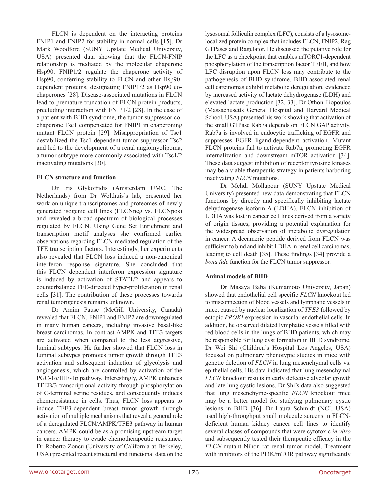FLCN is dependent on the interacting proteins FNIP1 and FNIP2 for stability in normal cells [15]. Dr Mark Woodford (SUNY Upstate Medical University, USA) presented data showing that the FLCN-FNIP relationship is mediated by the molecular chaperone Hsp90. FNIP1/2 regulate the chaperone activity of Hsp90, conferring stability to FLCN and other Hsp90 dependent proteins, designating FNIP1/2 as Hsp90 cochaperones [28]. Disease-associated mutations in FLCN lead to premature truncation of FLCN protein products, precluding interaction with FNIP1/2 [28]. In the case of a patient with BHD syndrome, the tumor suppressor cochaperone Tsc1 compensated for FNIP1 in chaperoning mutant FLCN protein [29]. Misappropriation of Tsc1 destabilized the Tsc1-dependent tumor suppressor Tsc2 and led to the development of a renal angiomyolipoma, a tumor subtype more commonly associated with Tsc1/2 inactivating mutations [30].

#### **FLCN structure and function**

Dr Iris Glykofridis (Amsterdam UMC, The Netherlands) from Dr Wolthuis's lab, presented her work on unique transcriptomes and proteomes of newly generated isogenic cell lines (FLCNneg vs. FLCNpos) and revealed a broad spectrum of biological processes regulated by FLCN. Using Gene Set Enrichment and transcription motif analyses she confirmed earlier observations regarding FLCN-mediated regulation of the TFE transcription factors. Interestingly, her experiments also revealed that FLCN loss induced a non-canonical interferon response signature. She concluded that this FLCN dependent interferon expression signature is induced by activation of STAT1/2 and appears to counterbalance TFE-directed hyper-proliferation in renal cells [31]. The contribution of these processes towards renal tumorigenesis remains unknown.

Dr Arnim Pause (McGill University, Canada) revealed that FLCN, FNIP1 and FNIP2 are downregulated in many human cancers, including invasive basal-like breast carcinomas. In contrast AMPK and TFE3 targets are activated when compared to the less aggressive, luminal subtypes. He further showed that FLCN loss in luminal subtypes promotes tumor growth through TFE3 activation and subsequent induction of glycolysis and angiogenesis, which are controlled by activation of the PGC-1α/HIF-1α pathway. Interestingly, AMPK enhances TFEB/3 transcriptional activity through phosphorylation of C-terminal serine residues, and consequently induces chemoresistance in cells. Thus, FLCN loss appears to induce TFE3-dependent breast tumor growth through activation of multiple mechanisms that reveal a general role of a deregulated FLCN/AMPK/TFE3 pathway in human cancers. AMPK could be as a promising upstream target in cancer therapy to evade chemotherapeutic resistance. Dr Roberto Zoncu (University of California at Berkeley, USA) presented recent structural and functional data on the lysosomal folliculin complex (LFC), consists of a lysosomelocalized protein complex that includes FLCN, FNIP2, Rag GTPases and Ragulator. He discussed the putative role for the LFC as a checkpoint that enables mTORC1-dependent phosphorylation of the transcription factor TFEB, and how LFC disruption upon FLCN loss may contribute to the pathogenesis of BHD syndrome. BHD-associated renal cell carcinomas exhibit metabolic deregulation, evidenced by increased activity of lactate dehydrogenase (LDH) and elevated lactate production [32, 33]. Dr Othon Iliopoulos (Massachusetts General Hospital and Harvard Medical School, USA) presented his work showing that activation of the small GTPase Rab7a depends on FLCN GAP activity. Rab7a is involved in endocytic trafficking of EGFR and suppresses EGFR ligand-dependent activation. Mutant FLCN proteins fail to activate Rab7a, promoting EGFR internalization and downstream mTOR activation [34]. These data suggest inhibition of receptor tyrosine kinases may be a viable therapeutic strategy in patients harboring inactivating *FLCN* mutations.

Dr Mehdi Mollapour (SUNY Upstate Medical University) presented new data demonstrating that FLCN functions by directly and specifically inhibiting lactate dehydrogenase isoform A (LDHA). FLCN inhibition of LDHA was lost in cancer cell lines derived from a variety of origin tissues, providing a potential explanation for the widespread observation of metabolic dysregulation in cancer. A decameric peptide derived from FLCN was sufficient to bind and inhibit LDHA in renal cell carcinomas, leading to cell death [35]. These findings [34] provide a *bona fide* function for the FLCN tumor suppressor.

#### **Animal models of BHD**

Dr Masaya Baba (Kumamoto University, Japan) showed that endothelial cell specific *FLCN* knockout led to misconnection of blood vessels and lymphatic vessels in mice, caused by nuclear localization of *TFE3* followed by ectopic *PROX1* expression in vascular endothelial cells. In addition, he observed dilated lymphatic vessels filled with red blood cells in the lungs of BHD patients, which may be responsible for lung cyst formation in BHD syndrome. Dr Wei Shi (Children's Hospital Los Angeles, USA) focused on pulmonary phenotypic studies in mice with genetic deletion of *FLCN* in lung mesenchymal cells vs. epithelial cells. His data indicated that lung mesenchymal *FLCN* knockout results in early defective alveolar growth and late lung cystic lesions. Dr Shi's data also suggested that lung mesenchyme-specific *FLCN* knockout mice may be a better model for studying pulmonary cystic lesions in BHD [36]. Dr Laura Schmidt (NCI, USA) used high-throughput small molecule screens in FLCNdeficient human kidney cancer cell lines to identify several classes of compounds that were cytotoxic *in vitro* and subsequently tested their therapeutic efficacy in the *FLCN*-mutant Nihon rat renal tumor model. Treatment with inhibitors of the PI3K/mTOR pathway significantly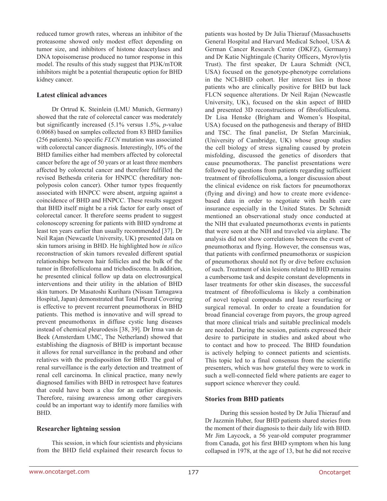reduced tumor growth rates, whereas an inhibitor of the proteasome showed only modest effect depending on tumor size, and inhibitors of histone deacetylases and DNA topoisomerase produced no tumor response in this model. The results of this study suggest that PI3K/mTOR inhibitors might be a potential therapeutic option for BHD kidney cancer.

#### **Latest clinical advances**

Dr Ortrud K. Steinlein (LMU Munich, Germany) showed that the rate of colorectal cancer was moderately but significantly increased (5.1% versus 1.5%, *p*-value 0.0068) based on samples collected from 83 BHD families (256 patients). No specific *FLCN* mutation was associated with colorectal cancer diagnosis. Interestingly, 10% of the BHD families either had members affected by colorectal cancer before the age of 50 years or at least three members affected by colorectal cancer and therefore fulfilled the revised Bethesda criteria for HNPCC (hereditary nonpolyposis colon cancer). Other tumor types frequently associated with HNPCC were absent, arguing against a coincidence of BHD and HNPCC. These results suggest that BHD itself might be a risk factor for early onset of colorectal cancer. It therefore seems prudent to suggest colonoscopy screening for patients with BHD syndrome at least ten years earlier than usually recommended [37]. Dr Neil Rajan (Newcastle University, UK) presented data on skin tumors arising in BHD. He highlighted how *in silico* reconstruction of skin tumors revealed different spatial relationships between hair follicles and the bulk of the tumor in fibrofolliculoma and trichodiscoma. In addition, he presented clinical follow up data on electrosurgical interventions and their utility in the ablation of BHD skin tumors. Dr Masatoshi Kurihara (Nissan Tamagawa Hospital, Japan) demonstrated that Total Pleural Covering is effective to prevent recurrent pneumothorax in BHD patients. This method is innovative and will spread to prevent pneumothorax in diffuse cystic lung diseases instead of chemical pleurodesis [38, 39]. Dr Irma van de Beek (Amsterdam UMC, The Netherland) showed that establishing the diagnosis of BHD is important because it allows for renal surveillance in the proband and other relatives with the predisposition for BHD. The goal of renal surveillance is the early detection and treatment of renal cell carcinoma. In clinical practice, many newly diagnosed families with BHD in retrospect have features that could have been a clue for an earlier diagnosis. Therefore, raising awareness among other caregivers could be an important way to identify more families with BHD.

#### **Researcher lightning session**

This session, in which four scientists and physicians from the BHD field explained their research focus to patients was hosted by Dr Julia Thierauf (Massachusetts General Hospital and Harvard Medical School, USA & German Cancer Research Center (DKFZ), Germany) and Dr Katie Nightingale (Charity Officers, Myrovlytis Trust). The first speaker, Dr Laura Schmidt (NCI, USA) focused on the genotype-phenotype correlations in the NCI-BHD cohort. Her interest lies in those patients who are clinically positive for BHD but lack FLCN sequence alterations. Dr Neil Rajan (Newcastle University, UK), focused on the skin aspect of BHD and presented 3D reconstructions of fibrofolliculoma. Dr Lisa Henske (Brigham and Women's Hospital, USA) focused on the pathogenesis and therapy of BHD and TSC. The final panelist, Dr Stefan Marciniak, (University of Cambridge, UK) whose group studies the cell biology of stress signaling caused by protein misfolding, discussed the genetics of disorders that cause pneumothorax. The panelist presentations were followed by questions from patients regarding sufficient treatment of fibrofolliculoma, a longer discussion about the clinical evidence on risk factors for pneumothorax (flying and diving) and how to create more evidencebased data in order to negotiate with health care insurance especially in the United States. Dr Schmidt mentioned an observational study once conducted at the NIH that evaluated pneumothorax events in patients that were seen at the NIH and traveled via airplane. The analysis did not show correlations between the event of pneumothorax and flying. However, the consensus was, that patients with confirmed pneumothorax or suspicion of pneumothorax should not fly or dive before exclusion of such. Treatment of skin lesions related to BHD remains a cumbersome task and despite constant developments in laser treatments for other skin diseases, the successful treatment of fibrofolliculoma is likely a combination of novel topical compounds and laser resurfacing or surgical removal. In order to create a foundation for broad financial coverage from payors, the group agreed that more clinical trials and suitable preclinical models are needed. During the session, patients expressed their desire to participate in studies and asked about who to contact and how to proceed. The BHD foundation is actively helping to connect patients and scientists. This topic led to a final consensus from the scientific presenters, which was how grateful they were to work in such a well-connected field where patients are eager to support science wherever they could.

#### **Stories from BHD patients**

During this session hosted by Dr Julia Thierauf and Dr Jazzmin Huber, four BHD patients shared stories from the moment of their diagnosis to their daily life with BHD. Mr Jim Laycock, a 56 year-old computer programmer from Canada, got his first BHD symptom when his lung collapsed in 1978, at the age of 13, but he did not receive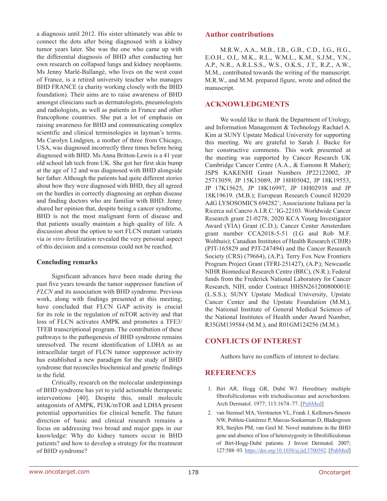a diagnosis until 2012. His sister ultimately was able to connect the dots after being diagnosed with a kidney tumor years later. She was the one who came up with the differential diagnosis of BHD after conducting her own research on collapsed lungs and kidney neoplasms. Ms Jenny Marlé-Ballangé, who lives on the west coast of France, is a retired university teacher who manages BHD FRANCE (a charity working closely with the BHD foundation). Their aims are to raise awareness of BHD amongst clinicians such as dermatologists, pneumologists and radiologists, as well as patients in France and other francophone countries. She put a lot of emphasis on raising awareness for BHD and communicating complex scientific and clinical terminologies in layman's terms. Ms Carolyn Lindgren, a mother of three from Chicago, USA, was diagnosed incorrectly three times before being diagnosed with BHD. Ms Anna Britton-Lewis is a 41 year old school lab tech from UK. She got her first skin bump at the age of 12 and was diagnosed with BHD alongside her father. Although the patients had quite different stories about how they were diagnosed with BHD, they all agreed on the hurdles in correctly diagnosing an orphan disease and finding doctors who are familiar with BHD. Jenny shared her opinion that, despite being a cancer syndrome, BHD is not the most malignant form of disease and that patients usually maintain a high quality of life. A discussion about the option to sort FLCN mutant variants via *in vitro* fertilization revealed the very personal aspect of this decision and a consensus could not be reached.

#### **Concluding remarks**

Significant advances have been made during the past five years towards the tumor suppressor function of *FLCN* and its association with BHD syndrome. Previous work, along with findings presented at this meeting, have concluded that FLCN GAP activity is crucial for its role in the regulation of mTOR activity and that loss of FLCN activates AMPK and promotes a TFE3/ TFEB transcriptional program. The contribution of these pathways to the pathogenesis of BHD syndrome remains unresolved. The recent identification of LDHA as an intracellular target of FLCN tumor suppressor activity has established a new paradigm for the study of BHD syndrome that reconciles biochemical and genetic findings in the field.

Critically, research on the molecular underpinnings of BHD syndrome has yet to yield actionable therapeutic interventions [40]. Despite this, small molecule antagonists of AMPK, PI3K/mTOR and LDHA present potential opportunities for clinical benefit. The future direction of basic and clinical research remains a focus on addressing two broad and major gaps in our knowledge: Why do kidney tumors occur in BHD patients? and how to develop a strategy for the treatment of BHD syndrome?

## **Author contributions**

M.R.W., A.A., M.B., I.B., G.B., C.D., I.G., H.G., E.O.H., O.I., M.K., R.L., W.M.L., K.M., S.J.M., Y.N., A.P., N.R., A.R.L.S.S., W.S., O.K.S., J.T., R.Z., A.W., M.M., contributed towards the writing of the manuscript. M.R.W., and M.M. prepared figure, wrote and edited the manuscript.

## **ACKNOWLEDGMENTS**

We would like to thank the Department of Urology, and Information Management & Technology Rachael A. Kim at SUNY Upstate Medical University for supporting this meeting. We are grateful to Sarah J. Backe for her constructive comments. This work presented at the meeting was supported by Cancer Research UK Cambridge Cancer Centre (A.A., & Eamonn R Maher); JSPS KAKENHI Grant Numbers JP22122002, JP 25713059, JP 15K15089, JP 18H05042, JP 18K19553, JP 17K15625, JP 18K16997, JP 18H02938 and JP 18K19619. (M.B.); European Research Council H2020 AdG LYSOSOMICS 694282'; Associazione Italiana per la Ricerca sul Cancro A.I.R.C.'IG-22103. Worldwide Cancer Research grant 21-0278; 2020 KCA Young Investigator Award (YIA) Grant (C.D.); Cancer Center Amsterdam grant number CCA2018-5-51 (I.G and Rob M.F. Wolthuis); Canadian Institutes of Health Research (CIHR) (PJT-165829 and PJT-247494) and the Cancer Research Society (CRS) (79664), (A.P.). Terry Fox New Frontiers Program Project Grant (TFRI-251427), (A.P.); Newcastle NIHR Biomedical Research Centre (BRC), (N.R.); Federal funds from the Frederick National Laboratory for Cancer Research, NIH, under Contract HHSN261200800001E (L.S.S.); SUNY Upstate Medical University, Upstate Cancer Center and the Upstate Foundation (M.M.), the National Institute of General Medical Sciences of the National Institutes of Health under Award Number, R35GM139584 (M.M.), and R01GM124256 (M.M.).

## **CONFLICTS OF INTEREST**

Authors have no conflicts of interest to declare.

## **REFERENCES**

- 1. Birt AR, Hogg GR, Dubé WJ. Hereditary multiple fibrofolliculomas with trichodiscomas and acrochordons. Arch Dermatol. 1977; 113:1674-77. [[PubMed](https://pubmed.ncbi.nlm.nih.gov/596896)]
- 2. van Steensel MA, Verstraeten VL, Frank J, Kelleners-Smeets NW, Poblete-Gutiérrez P, Marcus-Soekarman D, Bladergroen RS, Steijlen PM, van Geel M. Novel mutations in the BHD gene and absence of loss of heterozygosity in fibrofolliculomas of Birt-Hogg-Dubé patients. J Invest Dermatol. 2007; 127:588–93.<https://doi.org/10.1038/sj.jid.5700592>. [\[PubMed](https://pubmed.ncbi.nlm.nih.gov/17124507)]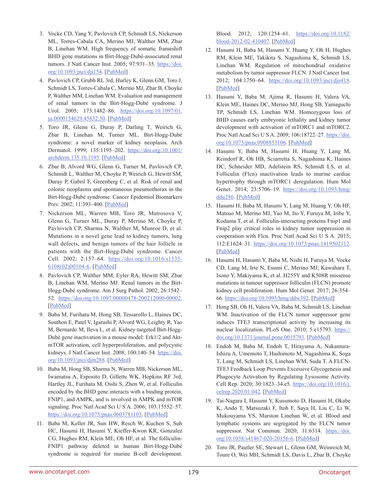- 3. Vocke CD, Yang Y, Pavlovich CP, Schmidt LS, Nickerson ML, Torres-Cabala CA, Merino MJ, Walther MM, Zbar B, Linehan WM. High frequency of somatic frameshift BHD gene mutations in Birt-Hogg-Dubé-associated renal tumors. J Natl Cancer Inst. 2005; 97:931–35. [https://doi.](https://doi.org/10.1093/jnci/dji154) [org/10.1093/jnci/dji154](https://doi.org/10.1093/jnci/dji154). [[PubMed](https://pubmed.ncbi.nlm.nih.gov/15956655)]
- 4. Pavlovich CP, Grubb RL 3rd, Hurley K, Glenn GM, Toro J, Schmidt LS, Torres-Cabala C, Merino MJ, Zbar B, Choyke P, Walther MM, Linehan WM. Evaluation and management of renal tumors in the Birt-Hogg-Dubé syndrome. J Urol. 2005; 173:1482-86. [https://doi.org/10.1097/01.](https://doi.org/10.1097/01.ju.0000154629.45832.30) [ju.0000154629.45832.30](https://doi.org/10.1097/01.ju.0000154629.45832.30). [[PubMed](https://pubmed.ncbi.nlm.nih.gov/15821464)]
- 5. Toro JR, Glenn G, Duray P, Darling T, Weirich G, Zbar B, Linehan M, Turner ML. Birt-Hogg-Dubé syndrome: a novel marker of kidney neoplasia. Arch Dermatol. 1999; 135:1195–202. [https://doi.org/10.1001/](https://doi.org/10.1001/archderm.135.10.1195) [archderm.135.10.1195.](https://doi.org/10.1001/archderm.135.10.1195) [\[PubMed\]](https://pubmed.ncbi.nlm.nih.gov/10522666)
- 6. Zbar B, Alvord WG, Glenn G, Turner M, Pavlovich CP, Schmidt L, Walther M, Choyke P, Weirich G, Hewitt SM, Duray P, Gabril F, Greenberg C, et al. Risk of renal and colonic neoplasms and spontaneous pneumothorax in the Birt-Hogg-Dubé syndrome. Cancer Epidemiol Biomarkers Prev. 2002; 11:393-400. [\[PubMed\]](https://pubmed.ncbi.nlm.nih.gov/11927500)
- 7. Nickerson ML, Warren MB, Toro JR, Matrosova V, Glenn G, Turner ML, Duray P, Merino M, Choyke P, Pavlovich CP, Sharma N, Walther M, Munroe D, et al. Mutations in a novel gene lead to kidney tumors, lung wall defects, and benign tumors of the hair follicle in patients with the Birt-Hogg-Dubé syndrome. Cancer Cell. 2002; 2:157–64. [https://doi.org/10.1016/s1535-](https://doi.org/10.1016/s1535-6108(02)00104-6) [6108\(02\)00104-6.](https://doi.org/10.1016/s1535-6108(02)00104-6) [[PubMed](https://pubmed.ncbi.nlm.nih.gov/12204536)]
- 8. Pavlovich CP, Walther MM, Eyler RA, Hewitt SM, Zbar B, Linehan WM, Merino MJ. Renal tumors in the Birt-Hogg-Dubé syndrome. Am J Surg Pathol. 2002; 26:1542– 52. <https://doi.org/10.1097/00000478-200212000-00002>. [[PubMed\]](https://pubmed.ncbi.nlm.nih.gov/12459621)
- 9. Baba M, Furihata M, Hong SB, Tessarollo L, Haines DC, Southon E, Patel V, Igarashi P, Alvord WG, Leighty R, Yao M, Bernardo M, Ileva L, et al. Kidney-targeted Birt-Hogg-Dubé gene inactivation in a mouse model: Erk1/2 and AktmTOR activation, cell hyperproliferation, and polycystic kidneys. J Natl Cancer Inst. 2008; 100:140–54. [https://doi.](https://doi.org/10.1093/jnci/djm288) [org/10.1093/jnci/djm288.](https://doi.org/10.1093/jnci/djm288) [\[PubMed\]](https://pubmed.ncbi.nlm.nih.gov/18182616)
- 10. Baba M, Hong SB, Sharma N, Warren MB, Nickerson ML, Iwamatsu A, Esposito D, Gillette WK, Hopkins RF 3rd, Hartley JL, Furihata M, Oishi S, Zhen W, et al. Folliculin encoded by the BHD gene interacts with a binding protein, FNIP1, and AMPK, and is involved in AMPK and mTOR signaling. Proc Natl Acad Sci U S A. 2006; 103:15552–57. <https://doi.org/10.1073/pnas.0603781103>. [[PubMed](https://pubmed.ncbi.nlm.nih.gov/17028174)]
- 11. Baba M, Keller JR, Sun HW, Resch W, Kuchen S, Suh HC, Hasumi H, Hasumi Y, Kieffer-Kwon KR, Gonzalez CG, Hughes RM, Klein ME, Oh HF, et al. The folliculin-FNIP1 pathway deleted in human Birt-Hogg-Dubé syndrome is required for murine B-cell development.

Blood. 2012; 120:1254–61. [https://doi.org/10.1182/](https://doi.org/10.1182/blood-2012-02-410407) [blood-2012-02-410407.](https://doi.org/10.1182/blood-2012-02-410407) [\[PubMed\]](https://pubmed.ncbi.nlm.nih.gov/22709692)

- 12. Hasumi H, Baba M, Hasumi Y, Huang Y, Oh H, Hughes RM, Klein ME, Takikita S, Nagashima K, Schmidt LS, Linehan WM. Regulation of mitochondrial oxidative metabolism by tumor suppressor FLCN. J Natl Cancer Inst. 2012; 104:1750–64. [https://doi.org/10.1093/jnci/djs418.](https://doi.org/10.1093/jnci/djs418) [\[PubMed\]](https://pubmed.ncbi.nlm.nih.gov/23150719)
- 13. Hasumi Y, Baba M, Ajima R, Hasumi H, Valera VA, Klein ME, Haines DC, Merino MJ, Hong SB, Yamaguchi TP, Schmidt LS, Linehan WM. Homozygous loss of BHD causes early embryonic lethality and kidney tumor development with activation of mTORC1 and mTORC2. Proc Natl Acad Sci U S A. 2009; 106:18722–27. [https://doi.](https://doi.org/10.1073/pnas.0908853106) [org/10.1073/pnas.0908853106](https://doi.org/10.1073/pnas.0908853106). [[PubMed](https://pubmed.ncbi.nlm.nih.gov/19850877)]
- 14. Hasumi Y, Baba M, Hasumi H, Huang Y, Lang M, Reindorf R, Oh HB, Sciarretta S, Nagashima K, Haines DC, Schneider MD, Adelstein RS, Schmidt LS, et al. Folliculin (Flcn) inactivation leads to murine cardiac hypertrophy through mTORC1 deregulation. Hum Mol Genet. 2014; 23:5706-19. [https://doi.org/10.1093/hmg/](https://doi.org/10.1093/hmg/ddu286) [ddu286.](https://doi.org/10.1093/hmg/ddu286) [\[PubMed](https://pubmed.ncbi.nlm.nih.gov/24908670)]
- 15. Hasumi H, Baba M, Hasumi Y, Lang M, Huang Y, Oh HF, Matsuo M, Merino MJ, Yao M, Ito Y, Furuya M, Iribe Y, Kodama T, et al. Folliculin-interacting proteins Fnip1 and Fnip2 play critical roles in kidney tumor suppression in cooperation with Flcn. Proc Natl Acad Sci U S A. 2015; 112:E1624–31. [https://doi.org/10.1073/pnas.1419502112.](https://doi.org/10.1073/pnas.1419502112) [\[PubMed\]](https://pubmed.ncbi.nlm.nih.gov/25775561)
- 16. Hasumi H, Hasumi Y, Baba M, Nishi H, Furuya M, Vocke CD, Lang M, Irie N, Esumi C, Merino MJ, Kawahara T, Isono Y, Makiyama K, et al. H255Y and K508R missense mutations in tumour suppressor folliculin (FLCN) promote kidney cell proliferation. Hum Mol Genet. 2017; 26:354– 66. <https://doi.org/10.1093/hmg/ddw392>. [[PubMed](https://pubmed.ncbi.nlm.nih.gov/28007907)]
- 17. Hong SB, Oh H, Valera VA, Baba M, Schmidt LS, Linehan WM. Inactivation of the FLCN tumor suppressor gene induces TFE3 transcriptional activity by increasing its nuclear localization. PLoS One. 2010; 5:e15793. [https://](https://doi.org/10.1371/journal.pone.0015793) [doi.org/10.1371/journal.pone.0015793](https://doi.org/10.1371/journal.pone.0015793). [[PubMed](https://pubmed.ncbi.nlm.nih.gov/21209915)]
- 18. Endoh M, Baba M, Endoh T, Hirayama A, Nakamura-Ishizu A, Umemoto T, Hashimoto M, Nagashima K, Soga T, Lang M, Schmidt LS, Linehan WM, Suda T. A FLCN-TFE3 Feedback Loop Prevents Excessive Glycogenesis and Phagocyte Activation by Regulating Lysosome Activity. Cell Rep. 2020; 30:1823–34.e5. [https://doi.org/10.1016/j.](https://doi.org/10.1016/j.celrep.2020.01.042) [celrep.2020.01.042.](https://doi.org/10.1016/j.celrep.2020.01.042) [\[PubMed\]](https://pubmed.ncbi.nlm.nih.gov/32049013)
- 19. Tai-Nagara I, Hasumi Y, Kusumoto D, Hasumi H, Okabe K, Ando T, Matsuzaki F, Itoh F, Saya H, Liu C, Li W, Mukouyama YS, Marston Linehan W, et al. Blood and lymphatic systems are segregated by the FLCN tumor suppressor. Nat Commun. 2020; 11:6314. [https://doi.](https://doi.org/10.1038/s41467-020-20156-6) [org/10.1038/s41467-020-20156-6](https://doi.org/10.1038/s41467-020-20156-6). [[PubMed](https://pubmed.ncbi.nlm.nih.gov/33298956)]
- 20. Toro JR, Pautler SE, Stewart L, Glenn GM, Weinreich M, Toure O, Wei MH, Schmidt LS, Davis L, Zbar B, Choyke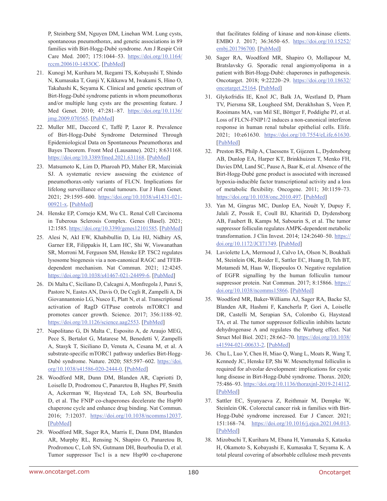P, Steinberg SM, Nguyen DM, Linehan WM. Lung cysts, spontaneous pneumothorax, and genetic associations in 89 families with Birt-Hogg-Dubé syndrome. Am J Respir Crit Care Med. 2007; 175:1044–53. [https://doi.org/10.1164/](https://doi.org/10.1164/rccm.200610-1483OC) [rccm.200610-1483OC.](https://doi.org/10.1164/rccm.200610-1483OC) [\[PubMed\]](https://pubmed.ncbi.nlm.nih.gov/17322109)

- 21. Kunogi M, Kurihara M, Ikegami TS, Kobayashi T, Shindo N, Kumasaka T, Gunji Y, Kikkawa M, Iwakami S, Hino O, Takahashi K, Seyama K. Clinical and genetic spectrum of Birt-Hogg-Dubé syndrome patients in whom pneumothorax and/or multiple lung cysts are the presenting feature. J Med Genet. 2010; 47:281–87. [https://doi.org/10.1136/](https://doi.org/10.1136/jmg.2009.070565) [jmg.2009.070565.](https://doi.org/10.1136/jmg.2009.070565) [[PubMed\]](https://pubmed.ncbi.nlm.nih.gov/20413710)
- 22. Muller ME, Daccord C, Taffé P, Lazor R. Prevalence of Birt-Hogg-Dubé Syndrome Determined Through Epidemiological Data on Spontaneous Pneumothorax and Bayes Theorem. Front Med (Lausanne). 2021; 8:631168. <https://doi.org/10.3389/fmed.2021.631168>. [[PubMed](https://pubmed.ncbi.nlm.nih.gov/33987191)]
- 23. Matsumoto K, Lim D, Pharoah PD, Maher ER, Marciniak SJ. A systematic review assessing the existence of pneumothorax-only variants of FLCN. Implications for lifelong surveillance of renal tumours. Eur J Hum Genet. 2021; 29:1595–600. [https://doi.org/10.1038/s41431-021-](https://doi.org/10.1038/s41431-021-00921-x) [00921-x.](https://doi.org/10.1038/s41431-021-00921-x) [\[PubMed\]](https://pubmed.ncbi.nlm.nih.gov/34267338)
- 24. Henske EP, Cornejo KM, Wu CL. Renal Cell Carcinoma in Tuberous Sclerosis Complex. Genes (Basel). 2021; 12:1585.<https://doi.org/10.3390/genes12101585>. [[PubMed\]](https://pubmed.ncbi.nlm.nih.gov/34680979)
- 25. Alesi N, Akl EW, Khabibullin D, Liu HJ, Nidhiry AS, Garner ER, Filippakis H, Lam HC, Shi W, Viswanathan SR, Morroni M, Ferguson SM, Henske EP. TSC2 regulates lysosome biogenesis via a non-canonical RAGC and TFEBdependent mechanism. Nat Commun. 2021; 12:4245. <https://doi.org/10.1038/s41467-021-24499-6>. [[PubMed](https://pubmed.ncbi.nlm.nih.gov/34253722)]
- 26. Di Malta C, Siciliano D, Calcagni A, Monfregola J, Punzi S, Pastore N, Eastes AN, Davis O, De Cegli R, Zampelli A, Di Giovannantonio LG, Nusco E, Platt N, et al. Transcriptional activation of RagD GTPase controls mTORC1 and promotes cancer growth. Science. 2017; 356:1188–92. [https://doi.org/10.1126/science.aag2553.](https://doi.org/10.1126/science.aag2553) [\[PubMed\]](https://pubmed.ncbi.nlm.nih.gov/28619945)
- 27. Napolitano G, Di Malta C, Esposito A, de Araujo MEG, Pece S, Bertalot G, Matarese M, Benedetti V, Zampelli A, Stasyk T, Siciliano D, Venuta A, Cesana M, et al. A substrate-specific mTORC1 pathway underlies Birt-Hogg-Dubé syndrome. Nature. 2020; 585:597–602. [https://doi.](https://doi.org/10.1038/s41586-020-2444-0) [org/10.1038/s41586-020-2444-0](https://doi.org/10.1038/s41586-020-2444-0). [[PubMed](https://pubmed.ncbi.nlm.nih.gov/32612235)]
- 28. Woodford MR, Dunn DM, Blanden AR, Capriotti D, Loiselle D, Prodromou C, Panaretou B, Hughes PF, Smith A, Ackerman W, Haystead TA, Loh SN, Bourboulia D, et al. The FNIP co-chaperones decelerate the Hsp90 chaperone cycle and enhance drug binding. Nat Commun. 2016; 7:12037. <https://doi.org/10.1038/ncomms12037>. [[PubMed](https://pubmed.ncbi.nlm.nih.gov/27353360)]
- 29. Woodford MR, Sager RA, Marris E, Dunn DM, Blanden AR, Murphy RL, Rensing N, Shapiro O, Panaretou B, Prodromou C, Loh SN, Gutmann DH, Bourboulia D, et al. Tumor suppressor Tsc1 is a new Hsp90 co-chaperone

that facilitates folding of kinase and non-kinase clients. EMBO J. 2017; 36:3650–65. [https://doi.org/10.15252/](https://doi.org/10.15252/embj.201796700) [embj.201796700](https://doi.org/10.15252/embj.201796700). [[PubMed](https://pubmed.ncbi.nlm.nih.gov/29127155)]

- 30. Sager RA, Woodford MR, Shapiro O, Mollapour M, Bratslavsky G. Sporadic renal angiomyolipoma in a patient with Birt-Hogg-Dubé: chaperones in pathogenesis. Oncotarget. 2018; 9:22220–29. [https://doi.org/10.18632/](https://doi.org/10.18632/oncotarget.25164) [oncotarget.25164](https://doi.org/10.18632/oncotarget.25164). [[PubMed](https://pubmed.ncbi.nlm.nih.gov/29774133)]
- 31. Glykofridis IE, Knol JC, Balk JA, Westland D, Pham TV, Piersma SR, Lougheed SM, Derakhshan S, Veen P, Rooimans MA, van Mil SE, Böttger F, Poddighe PJ, et al. Loss of FLCN-FNIP1/2 induces a non-canonical interferon response in human renal tubular epithelial cells. Elife. 2021; 10:e61630. [https://doi.org/10.7554/eLife.61630.](https://doi.org/10.7554/eLife.61630) [[PubMed\]](https://pubmed.ncbi.nlm.nih.gov/33459596)
- 32. Preston RS, Philp A, Claessens T, Gijezen L, Dydensborg AB, Dunlop EA, Harper KT, Brinkhuizen T, Menko FH, Davies DM, Land SC, Pause A, Baar K, et al. Absence of the Birt-Hogg-Dubé gene product is associated with increased hypoxia-inducible factor transcriptional activity and a loss of metabolic flexibility. Oncogene. 2011; 30:1159–73. <https://doi.org/10.1038/onc.2010.497>. [[PubMed](https://pubmed.ncbi.nlm.nih.gov/21057536)]
- 33. Yan M, Gingras MC, Dunlop EA, Nouët Y, Dupuy F, Jalali Z, Possik E, Coull BJ, Kharitidi D, Dydensborg AB, Faubert B, Kamps M, Sabourin S, et al. The tumor suppressor folliculin regulates AMPK-dependent metabolic transformation. J Clin Invest. 2014; 124:2640-50. [https://](https://doi.org/10.1172/JCI71749) [doi.org/10.1172/JCI71749](https://doi.org/10.1172/JCI71749). [[PubMed](https://pubmed.ncbi.nlm.nih.gov/24762438)]
- 34. Laviolette LA, Mermoud J, Calvo IA, Olson N, Boukhali M, Steinlein OK, Roider E, Sattler EC, Huang D, Teh BT, Motamedi M, Haas W, Iliopoulos O. Negative regulation of EGFR signalling by the human folliculin tumour suppressor protein. Nat Commun. 2017; 8:15866. [https://](https://doi.org/10.1038/ncomms15866) [doi.org/10.1038/ncomms15866](https://doi.org/10.1038/ncomms15866). [[PubMed](https://pubmed.ncbi.nlm.nih.gov/28656962)]
- 35. Woodford MR, Baker-Williams AJ, Sager RA, Backe SJ, Blanden AR, Hashmi F, Kancherla P, Gori A, Loiselle DR, Castelli M, Serapian SA, Colombo G, Haystead TA, et al. The tumor suppressor folliculin inhibits lactate dehydrogenase A and regulates the Warburg effect. Nat Struct Mol Biol. 2021; 28:662–70. [https://doi.org/10.1038/](https://doi.org/10.1038/s41594-021-00633-2) [s41594-021-00633-2.](https://doi.org/10.1038/s41594-021-00633-2) [\[PubMed\]](https://pubmed.ncbi.nlm.nih.gov/34381247)
- 36. Chu L, Luo Y, Chen H, Miao Q, Wang L, Moats R, Wang T, Kennedy JC, Henske EP, Shi W. Mesenchymal folliculin is required for alveolar development: implications for cystic lung disease in Birt-Hogg-Dubé syndrome. Thorax. 2020; 75:486–93. [https://doi.org/10.1136/thoraxjnl-2019-214112.](https://doi.org/10.1136/thoraxjnl-2019-214112) [\[PubMed\]](https://pubmed.ncbi.nlm.nih.gov/32238524)
- 37. Sattler EC, Syunyaeva Z, Reithmair M, Dempke W, Steinlein OK. Colorectal cancer risk in families with Birt-Hogg-Dubé syndrome increased. Eur J Cancer. 2021; 151:168–74. [https://doi.org/10.1016/j.ejca.2021.04.013.](https://doi.org/10.1016/j.ejca.2021.04.013) [\[PubMed\]](https://pubmed.ncbi.nlm.nih.gov/34000505)
- 38. Mizobuchi T, Kurihara M, Ebana H, Yamanaka S, Kataoka H, Okamoto S, Kobayashi E, Kumasaka T, Seyama K. A total pleural covering of absorbable cellulose mesh prevents